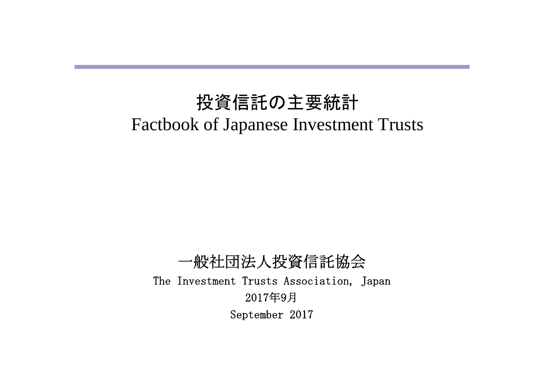# 投資信託の主要統計 Factbook of Japanese Investment Trusts

一般社団法人投資信託協会 The Investment Trusts Association, Japan 2017年9月 September 2017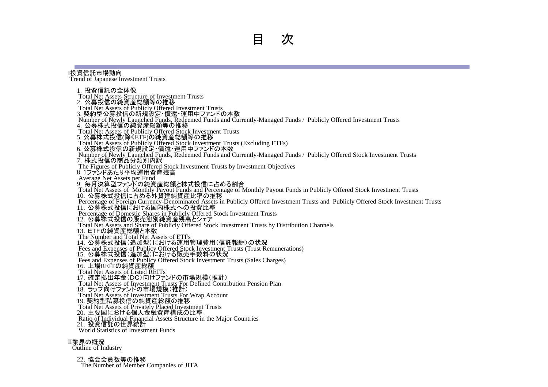#### Ⅰ投資信託市場動向

Trend of Japanese Investment Trusts

1. 投資信託の全体像 Total Net Assets-Structure of Investment Trusts 2.公募投信の純資産総額等の推移 Total Net Assets of Publicly Offered Investment Trusts 3. 契約型公募投信の新規設定・償還・運用中ファンドの本数 Number of Newly Launched Funds, Redeemed Funds and Currently-Managed Funds / Publicly Offered Investment Trusts 4.公募株式投信の純資産総額等の推移 Total Net Assets of Publicly Offered Stock Investment Trusts 5. 公募株式投信(除くETF)の純資産総額等の推移 Total Net Assets of Publicly Offered Stock Investment Trusts (Excluding ETFs) 6. 公募株式投信の新規設定・償還・運用中ファンドの本数 Number of Newly Launched Funds, Redeemed Funds and Currently-Managed Funds / Publicly Offered Stock Investment Trusts 7.株式投信の商品分類別内訳 The Figures of Publicly Offered Stock Investment Trusts by Investment Objectives 8. 1ファンドあたり平均運用資産残高 Average Net Assets per Fund 9.毎月決算型ファンドの純資産総額と株式投信に占める割合 Total Net Assets of Monthly Payout Funds and Percentage of Monthly Payout Funds in Publicly Offered Stock Investment Trusts 10.公募株式投信に占める外貨建純資産比率の推移 Percentage of Foreign Currency-Denominated Assets in Publicly Offered Investment Trusts and Publicly Offered Stock Investment Trusts 11.公募株式投信における国内株式への投資比率 Percentage of Domestic Shares in Publicly Offered Stock Investment Trusts 12. 公募株式投信の販売態別純資産残高とシェア Total Net Assets and Share of Publicly Offered Stock Investment Trusts by Distribution Channels 13.ETFの純資産総額と本数 The Number and Total Net Assets of ETFs 14.公募株式投信(追加型)における運用管理費用(信託報酬)の状況 Fees and Expenses of Publicy Offered Stock Investment Trusts (Trust Remunerations) 15.公募株式投信(追加型)における販売手数料の状況 Fees and Expenses of Publicy Offered Stock Investment Trusts (Sales Charges) 16.上場REITの純資産総額 Total Net Assets of Listed REITs 17.確定拠出年金(DC)向けファンドの市場規模(推計) Total Net Assets of Investment Trusts For Defined Contribution Pension Plan 18.ラップ向けファンドの市場規模(推計) Total Net Assets of Investment Trusts For Wrap Account 19. 契約型私募投信の純資産総額の推移 Total Net Assets of Privately Placed Investment Trusts 20.主要国における個人金融資産構成の比率 Ratio of Individual Financial Assets Structure in the Major Countries 21. 投資信託の世界統計 World Statistics of Investment Funds

#### Ⅱ業界の概況

Outline of Industry

#### 22. 協会会員数等の推移

The Number of Member Companies of JITA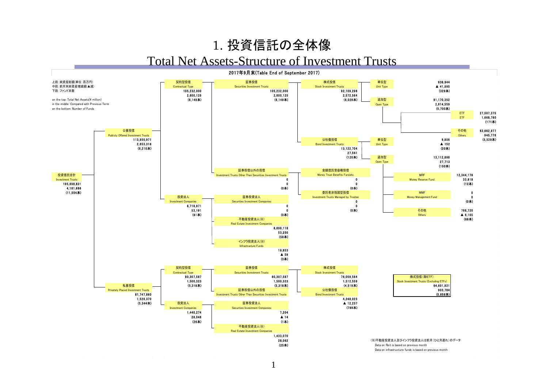## 1. 投資信託の全体像

#### Total Net Assets-Structure of Investment Trusts

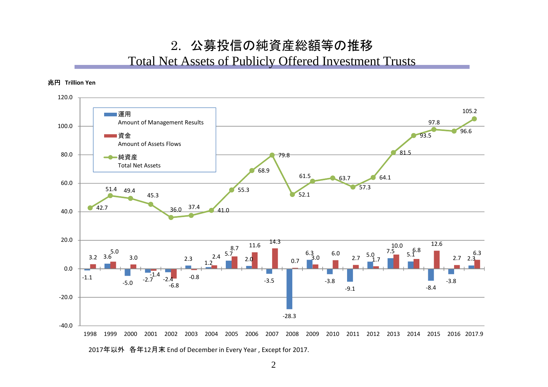#### 2. 公募投信の純資産総額等の推移

#### Total Net Assets of Publicly Offered Investment Trusts





2017年以外 各年12月末 End of December in Every Year , Except for 2017.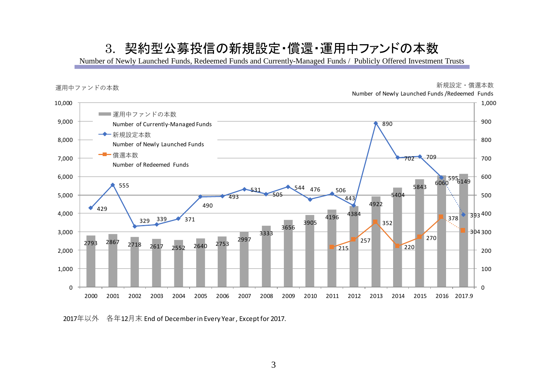### 3. 契約型公募投信の新規設定・償還・運用中ファンドの本数

Number of Newly Launched Funds, Redeemed Funds and Currently-Managed Funds / Publicly Offered Investment Trusts



年以外 各年12月末 End of December in Every Year , Except for 2017.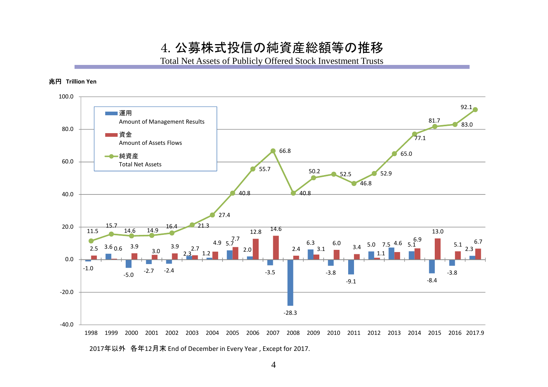4. 公募株式投信の純資産総額等の推移

Total Net Assets of Publicly Offered Stock Investment Trusts

#### 兆円 **Trillion Yen**



2017年以外 各年12月末 End of December in Every Year , Except for 2017.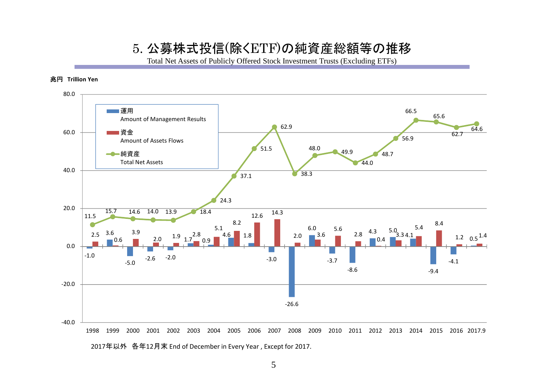#### 5. 公募株式投信(除くETF)の純資産総額等の推移

Total Net Assets of Publicly Offered Stock Investment Trusts (Excluding ETFs)

#### 兆円 **Trillion Yen**



5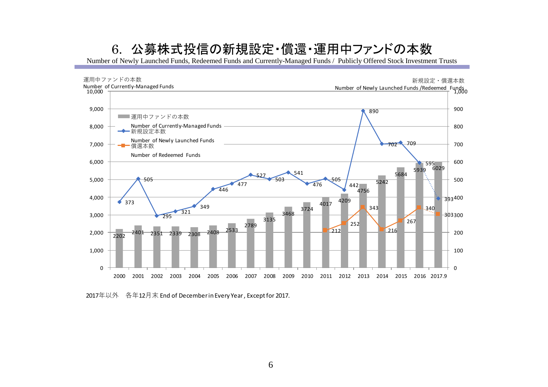## 6. 公募株式投信の新規設定・償還・運用中ファンドの本数

Number of Newly Launched Funds, Redeemed Funds and Currently-Managed Funds / Publicly Offered Stock Investment Trusts



年以外 各年12月末 End of December in Every Year , Except for 2017.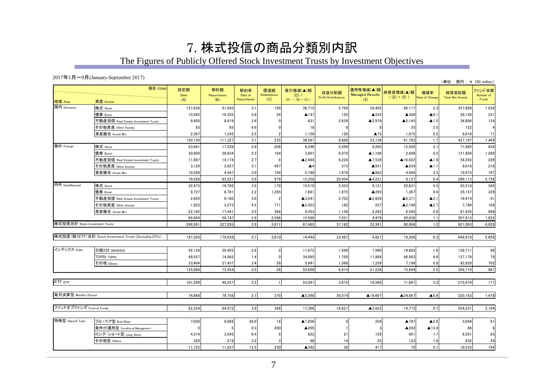## 7. 株式投信の商品分類別内訳

The Figures of Publicly Offered Stock Investment Trusts by Investment Objectives

#### 2017年1月~9月(January-September 2017)

|                                | $2017 + 1H = 9H$ (January-September 2017)                                                                                                                                                                                                                |                     |                           |                               |                           |                                             |                                      |                                            |                            |                       | (単位:億円;¥ 100 million)            |                              |
|--------------------------------|----------------------------------------------------------------------------------------------------------------------------------------------------------------------------------------------------------------------------------------------------------|---------------------|---------------------------|-------------------------------|---------------------------|---------------------------------------------|--------------------------------------|--------------------------------------------|----------------------------|-----------------------|----------------------------------|------------------------------|
| 地域 Area                        | 項目 ITEMS<br>資産 Assets                                                                                                                                                                                                                                    | 設定額<br>Sales<br>(A) | 解約額<br>Repurchases<br>(B) | 解約率<br>Rate of<br>Repurchases | 償還額<br>Redemptions<br>(C) | 差引増減(▲)額<br>$(D) =$<br>$(A) - ( (B) + (C))$ | 収益分配額<br><b>Profit Distributions</b> | 運用等増減(▲)額<br><b>Managed Results</b><br>(E) | 純資産増減(▲)額<br>$((D) + (E))$ | 増減率<br>Rate of Change | 純資産総額<br><b>Total Net Assets</b> | ファンド本数<br>Number of<br>Funds |
| 国内 Domestic                    | 株式 Stock                                                                                                                                                                                                                                                 | 127,938             | 91,043                    | 3.1                           | 180                       | 36,715                                      | 5,768                                | 29,402                                     | 66,117                     | 2.3                   | 357,089                          | 1,039                        |
|                                | 債券 Bond                                                                                                                                                                                                                                                  | 10,262              | 10,355                    | 3.9                           | 54                        | ▲147                                        | 155                                  | ▲222                                       | ▲369                       | $\blacktriangle$ 0.1  | 29,130                           | 231                          |
|                                | 不動産投信 Real Estate Investment Trusts                                                                                                                                                                                                                      | 9,450               | 8,619                     | 2.6                           |                           | 831                                         | 2,639                                | ▲5,976                                     | $\blacktriangle$ 5,145     | $\blacktriangle$ 1.5  | 34,806                           | 124                          |
|                                | その他資産 Othe <u>r Assets</u>                                                                                                                                                                                                                               | 83                  | 65                        | 6.6                           |                           | 18                                          | $\Omega$                             |                                            | 25                         | 2.5                   | 122                              |                              |
|                                | 資産複合 Asset Mix                                                                                                                                                                                                                                           | 2,397               | 1,245                     | 2.5                           |                           | 1,150                                       | 126                                  | ▲75                                        | 1,075                      | 2.2                   | 6,019                            | 71                           |
|                                |                                                                                                                                                                                                                                                          | 150,130             | 111,327                   | 3.1                           | 235                       | 38,567                                      | 8,688                                | 23,136                                     | 61,703                     | 1.7                   | 427,167                          | 1,469                        |
| 海外 Foreign                     | 株式 Stock                                                                                                                                                                                                                                                 | 23,841              | 17,339                    | 2.9                           | 206                       | 6,296                                       | 2,599                                | 6,205                                      | 12,502                     | 2.1                   | 71,885                           | 838                          |
|                                | 債券 Bond                                                                                                                                                                                                                                                  | 30,600              | 26,634                    | 2.3                           | 164                       | 3,801                                       | 8,078                                | $\blacktriangle$ 1,106                     | 2,696                      | 0.2                   | 131,894                          | 1,268                        |
|                                | 不動産投信 Real Estate Investment Trusts                                                                                                                                                                                                                      | 11,697              | 14,174                    | 2.7                           |                           | ▲2,484                                      | 8,224                                | ▲7,538                                     | ▲10,022                    | $\blacktriangle$ 1.9  | 54,243                           | 229                          |
|                                | その他資産 Other Assets                                                                                                                                                                                                                                       | 3,120               | 2,627                     | 3.1                           | 497                       | $\blacktriangle$ 4                          | 373                                  | ▲931                                       | ▲934                       | $\blacktriangle$ 1.1  | 9,019                            | 216                          |
|                                | 資産複合 Asset Mix                                                                                                                                                                                                                                           | 10,299              | 4,447                     | 3.0                           | 104                       | 5,748                                       | 1,679                                | ▲862                                       | 4,886                      | 3.3                   | 19,073                           | 187                          |
|                                |                                                                                                                                                                                                                                                          | 79,558              | 65,221                    | 2.6                           | 979                       | 13,358                                      | 20,954                               | ▲4,231                                     | 9,127                      | 0.4                   | 286,113                          | 2,738                        |
| 内外 InterNational               | 株式 Stock                                                                                                                                                                                                                                                 | 32,472              | 16,792                    | 3.5                           | 170                       | 15,510                                      | 2,423                                | 5,121                                      | 20,631                     | 4.3                   | 63,518                           | 345                          |
|                                | 債券 Bond                                                                                                                                                                                                                                                  | 9,727               | 6,781                     | 2.2                           | 1,285                     | 1,661                                       | 1,075                                | ▲295                                       | 1,367                      | 0.4                   | 35,157                           | 329                          |
|                                | 不動産投信 Real Estate Investment Trusts                                                                                                                                                                                                                      | 2,620               | 6,160                     | 3.0                           |                           | ▲3,541                                      | 2,702                                | ▲2,829                                     | ▲6,371                     | $\blacktriangle$ 3.1  | 19,414                           | 91                           |
|                                | その他資産 Other Assets                                                                                                                                                                                                                                       | 1,922               | 3,573                     | 4.5                           | 771                       | A2,423                                      | 182                                  | 237                                        | ▲2,186                     | $\blacktriangle$ 2.7  | 7,790                            | 168                          |
|                                | 資産複合 Asset Mix                                                                                                                                                                                                                                           | 22,162              | 17,441                    | 2.5                           | 368                       | 4,353                                       | 1,138                                | 2,242                                      | 6,595                      | 0.9                   | 81,935                           | 889                          |
|                                |                                                                                                                                                                                                                                                          | 68,904              | 50,747                    | 2.9                           | 2,596                     | 15,560                                      | 7,521                                | 4,476                                      | 20,036                     | 1.1                   | 207,813                          | 1,822                        |
| 株式投信合計 Stock Investment Trusts |                                                                                                                                                                                                                                                          | 298,591             | 227,295                   | 2.9                           | 3,811                     | 67,485                                      | 37,162                               | 23,381                                     | 90,866                     | 1.2                   | 921,093                          | 6,029                        |
|                                | 株式投信(除 <etf) (excluding="" etfs)<="" investment="" stock="" td="" trusts="" 合計=""><td>197,293</td><td>179,038</td><td>3.1</td><td>3,810</td><td>14,444</td><td>33,487</td><td>4,821</td><td>19,266</td><td>0.3</td><td>646,019</td><td>5,858</td></etf)> | 197,293             | 179,038                   | 3.1                           | 3,810                     | 14,444                                      | 33,487                               | 4,821                                      | 19,266                     | 0.3                   | 646,019                          | 5,858                        |
| インデックス Index                   | 日経225 NIKKEI225                                                                                                                                                                                                                                          | 42,128              | 30,455                    | $2.8\,$                       |                           | 11,672                                      | 1,598                                | 7,990                                      | 19,662                     | 1.8                   | 128,711                          | 86                           |
|                                | <b>TOPIX TOPIX</b>                                                                                                                                                                                                                                       | 49,557              | 14,562                    | 1.4                           |                           | 34,995                                      | 1,750                                | 11,988                                     | 46,983                     | 4.6                   | 137,179                          | 79                           |
|                                | その他 Others                                                                                                                                                                                                                                               | 33.404              | 27,437                    | 3.4                           | 26                        | 5,941                                       | 1,566                                | 1,259                                      | 7,199                      | 0.9                   | 92,820                           | 702                          |
|                                |                                                                                                                                                                                                                                                          | 125,088             | 72,454                    | 2.5                           | 26                        | 52,609                                      | 4,914                                | 21,236                                     | 73,844                     | 2.5                   | 358,710                          | 867                          |
| ETF ETF                        |                                                                                                                                                                                                                                                          | 101,299             | 48,257                    | 2.2                           |                           | 53,041                                      | 3,675                                | 18,560                                     | 71,601                     | 3.3                   | 275,074                          | 171                          |
| 毎月決算型 Monthly Payout           |                                                                                                                                                                                                                                                          | 74,868              | 79,758                    | 2.7                           | 370                       | $\blacktriangle$ 5,260                      | 30,574                               | ▲19,607                                    | ▲24,867                    | $\blacktriangle 0.8$  | 320,163                          | 1,478                        |
| ファンドオブファンズ Fund of Funds       |                                                                                                                                                                                                                                                          | 82,354              | 64,572                    | 2.9                           | 386                       | 17,396                                      | 16,621                               | $\blacktriangle$ 2,623                     | 14,773                     | 0.7                   | 254,531                          | 2,164                        |
| 特殊型 Special Type               | ブル・ベア型 Bull/Bear                                                                                                                                                                                                                                         | 7,030               | 8,068                     | 26.0                          | 18                        | ▲1,056                                      | $\Omega$                             | 259                                        | ▲797                       | $\blacktriangle$ 2.6  | 3,044                            | 81                           |
|                                | 条件付運用型 Conditional Management                                                                                                                                                                                                                            |                     |                           | 0.3                           | 200                       | ▲205                                        |                                      |                                            | ▲202                       | $\blacktriangle$ 13.4 | 66                               |                              |
|                                | ロング・ショート型 Long/Short                                                                                                                                                                                                                                     | 4,374               | 3,545                     | 6.4                           |                           | 822                                         | 21                                   | 129                                        | 951                        | 1.7                   | 6,591                            | 83                           |
|                                | その他型 Others                                                                                                                                                                                                                                              | 320                 | 219                       | 3.2                           |                           | 98                                          | 14                                   | 25                                         | 123                        | 1.8                   | 832                              | 24                           |
|                                |                                                                                                                                                                                                                                                          | 11,725              | 11,837                    | 12.5                          | 230                       | ▲342                                        | 36                                   | 417                                        | 75                         | 0.1                   | 10.533                           | 194                          |
|                                |                                                                                                                                                                                                                                                          |                     |                           |                               |                           |                                             |                                      |                                            |                            |                       |                                  |                              |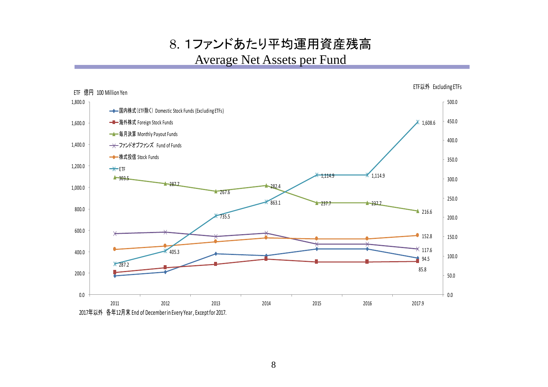8. 1ファンドあたり平均運用資産残高 Average Net Assets per Fund



8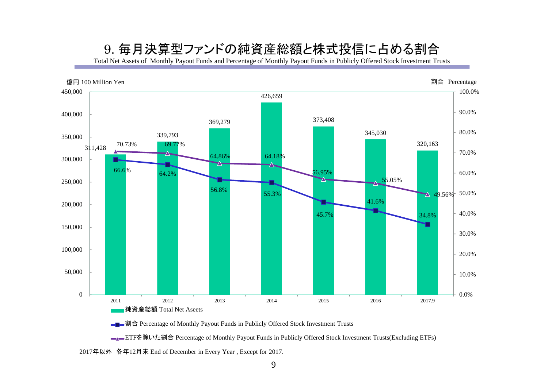### 9. 毎月決算型ファンドの純資産総額と株式投信に占める割合

Total Net Assets of Monthly Payout Funds and Percentage of Monthly Payout Funds in Publicly Offered Stock Investment Trusts



**■■■割合** Percentage of Monthly Payout Funds in Publicly Offered Stock Investment Trusts

■■ETFを除いた割合 Percentage of Monthly Payout Funds in Publicly Offered Stock Investment Trusts(Excluding ETFs)

2017年以外 各年12月末 End of December in Every Year , Except for 2017.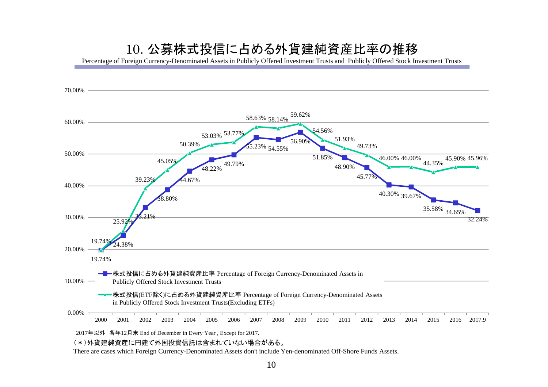### 10. 公募株式投信に占める外貨建純資産比率の推移

Percentage of Foreign Currency-Denominated Assets in Publicly Offered Investment Trusts and Publicly Offered Stock Investment Trusts



2017年以外 各年12月末 End of December in Every Year , Except for 2017.

(\*)外貨建純資産に円建て外国投資信託は含まれていない場合がある。

There are cases which Foreign Currency-Denominated Assets don't include Yen-denominated Off-Shore Funds Assets.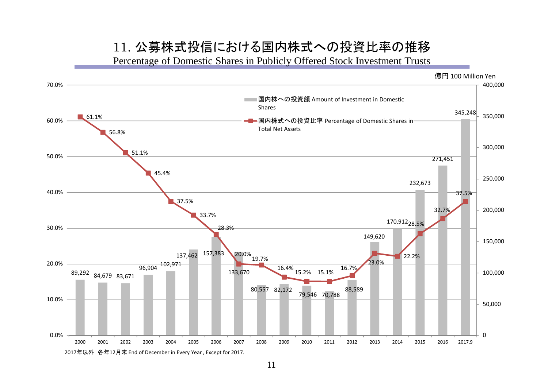### 11. 公募株式投信における国内株式への投資比率の推移

Percentage of Domestic Shares in Publicly Offered Stock Investment Trusts



11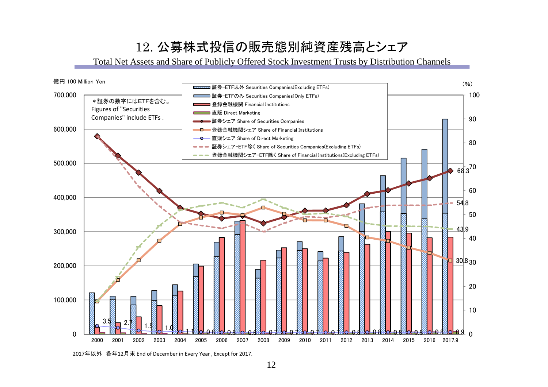## 12. 公募株式投信の販売態別純資産残高とシェア

Total Net Assets and Share of Publicly Offered Stock Investment Trusts by Distribution Channels



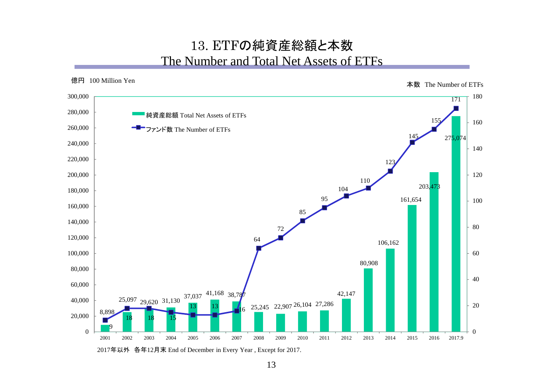### 13. ETFの純資産総額と本数 The Number and Total Net Assets of ETFs



2017年以外 各年12月末 End of December in Every Year , Except for 2017.

13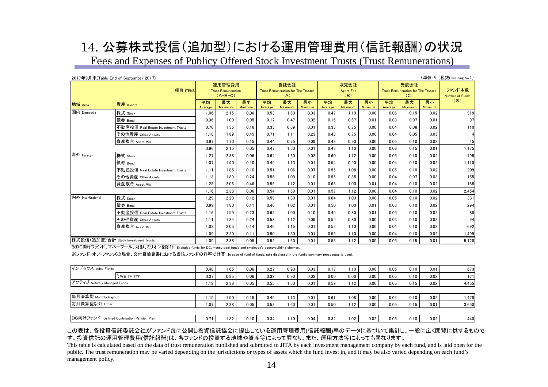# 14. 公募株式投信(追加型)における運用管理費用(信託報酬)の状況

Fees and Expenses of Publicy Offered Stock Investment Trusts (Trust Remunerations)

|                  | 2017年9月末(Table End of September 2017) |                                                  |               |                      |                                                   |               |               |                                 |               |               |                                                   |                      |                      | (単位:%(税抜Excluding tax))   |
|------------------|---------------------------------------|--------------------------------------------------|---------------|----------------------|---------------------------------------------------|---------------|---------------|---------------------------------|---------------|---------------|---------------------------------------------------|----------------------|----------------------|---------------------------|
| 項目 ITEMS         |                                       | 運用管理費用<br><b>Trust Remuneration</b><br>$(A+B+C)$ |               |                      | 委託会社<br>Trust Remuneration for The Trustor<br>(A) |               |               | 販売会社<br><b>Agent Fee</b><br>(B) |               |               | 受託会社<br>Trust Remuneration for The Trustee<br>(C) |                      |                      | ファンド本数<br>Number of Funds |
| 地域 Area          | 資産 Assets                             | 平均<br>Average                                    | 最大<br>Maximum | 最小<br><b>Minimum</b> | 平均<br>Average                                     | 最大<br>Maximum | 最小<br>Minimum | 平均<br>Average                   | 最大<br>Maximum | 最小<br>Minimum | 平均<br>Average                                     | 最大<br><b>Maximum</b> | 最小<br><b>Minimum</b> | $(\times)$                |
| 国内 Domestic      | 株式 Stock                              | 1.06                                             | 2.15          | 0.06                 | 0.53                                              | 1.60          | 0.03          | 0.47                            | 1.10          | 0.00          | 0.06                                              | 0.15                 | 0.02                 | 919                       |
|                  | 債券 Bond                               | 0.36                                             | 1.00          | 0.05                 | 0.17                                              | 0.47          | 0.02          | 0.15                            | 0.67          | 0.01          | 0.03                                              | 0.07                 | 0.01                 | 97                        |
|                  | 不動産投信 Real Estate Investment Trusts   | 0.70                                             | 1.35          | 0.16                 | 0.33                                              | 0.69          | 0.01          | 0.33                            | 0.75          | 0.00          | 0.04                                              | 0.08                 | 0.02                 | 110                       |
|                  | その他資産 Other Assets                    | 1.18                                             | 1.89          | 0.45                 | 0.71                                              | 1.11          | 0.23          | 0.43                            | 0.75          | 0.00          | 0.04                                              | 0.05                 | 0.03                 |                           |
|                  | 資産複合 Asset Mix                        | 0.97                                             | 1.70          | 0.15                 | 0.44                                              | 0.75          | 0.09          | 0.48                            | 0.90          | 0.00          | 0.05                                              | 0.10                 | 0.02                 | 45                        |
|                  |                                       | 0.96                                             | 2.15          | 0.05                 | 0.47                                              | 1.60          | 0.01          | 0.43                            | 1.10          | 0.00          | 0.06                                              | 0.15                 | 0.01                 | 1,175                     |
| 海外 Foreign       | 株式 Stock                              | 1.27                                             | 2.38          | 0.06                 | 0.62                                              | 1.60          | 0.02          | 0.60                            | 1.12          | 0.00          | 0.05                                              | 0.10                 | 0.02                 | 795                       |
|                  | 債券 Bond                               | 1.07                                             | 1.90          | 0.10                 | 0.49                                              | 1.13          | 0.01          | 0.54                            | 0.90          | 0.00          | 0.04                                              | 0.10                 | 0.02                 | 1,110                     |
|                  | 不動産投信 Real Estate Investment Trusts   | 1.11                                             | 1.85          | 0.10                 | 0.51                                              | 1.06          | 0.07          | 0.55                            | 1.08          | 0.00          | 0.05                                              | 0.10                 | 0.02                 | 209                       |
|                  | その他資産 Other Assets                    | 1.13                                             | 1.89          | 0.24                 | 0.55                                              | 1.09          | 0.10          | 0.55                            | 0.85          | 0.00          | 0.04                                              | 0.07                 | 0.03                 | 155                       |
|                  | 資産複合 Asset Mix                        | 1.28                                             | 2.06          | 0.46                 | 0.55                                              | 1.12          | 0.01          | 0.68                            | 1.00          | 0.01          | 0.04                                              | 0.10                 | 0.02                 | 185                       |
|                  |                                       | 1.16                                             | 2.38          | 0.06                 | 0.54                                              | 1.60          | 0.01          | 0.57                            | 1.12          | 0.00          | 0.04                                              | 0.10                 | 0.02                 | 2,454                     |
| 内外 InterNational | 株式 Stock                              | 1.29                                             | 2.20          | 0.12                 | 0.59                                              | 1.30          | 0.01          | 0.64                            | 1.03          | 0.00          | 0.05                                              | 0.10                 | 0.02                 | 331                       |
|                  | 債券 Bond                               | 0.99                                             | 1.80          | 0.11                 | 0.46                                              | 1.02          | 0.01          | 0.50                            | 1.00          | 0.01          | 0.03                                              | 0.10                 | 0.02                 | 294                       |
|                  | 不動産投信 Real Estate Investment Trusts   | 1.16                                             | 1.59          | 0.23                 | 0.62                                              | 1.00          | 0.10          | 0.49                            | 0.80          | 0.01          | 0.05                                              | 0.10                 | 0.02                 | 88                        |
|                  | その他資産 Other Assets                    | 1.11                                             | 1.84          | 0.24                 | 0.53                                              | 1.12          | 0.09          | 0.55                            | 0.80          | 0.00          | 0.03                                              | 0.10                 | 0.02                 | 94                        |
|                  | 資産複合 Asset Mix                        | 1.03                                             | 2.05          | 0.14                 | 0.46                                              | 1.15          | 0.01          | 0.53                            | 1.10          | 0.00          | 0.04                                              | 0.10                 | 0.02                 | 692                       |
|                  |                                       | 1.09                                             | 2.20          | 0.11                 | 0.50                                              | 1.30          | 0.01          | 0.55                            | 1.10          | 0.00          | 0.04                                              | 0.10                 | 0.02                 | 1,499                     |
|                  | 株式投信(追加型)合計 Stock Investment Trusts   | 1.09                                             | 2.38          | 0.05                 | 0.52                                              | 1.60          | 0.01          | 0.53                            | 1.12          | 0.00          | 0.05                                              | 0.15                 | 0.01                 | 5,128                     |

※DC向けファンド、マネープール、財形、ミリオンを除外 Excluded funds for DC, money pool funds and employee's asset-building shemes.

※ファンド・オブ・ファンズの場合、交付目論見書における当該ファンドの料率で計算 In case of fund of funds, rate disclosed in the fund's summary prospectus is used.

| インデックス Index Funds           |           | 0.48              | 1.65 | 0.06 | 0.27 | 0.90 | 0.03 | 0.17 | .10              | 0.00 | 0.05 | 0.10 | 0.01 | 673   |
|------------------------------|-----------|-------------------|------|------|------|------|------|------|------------------|------|------|------|------|-------|
|                              | うちETF ETF | 0.37              | 0.95 | 0.06 | 0.32 | 0.90 | 0.03 | 0.00 | 0.00             | 0.00 | 0.05 | 0.10 | 0.02 | 171   |
| アクティブ Actively Managed Funds |           | 1.19              | 2.38 | 0.05 | 0.55 | 1.60 | 0.01 | 0.59 | ا 12.            | 0.00 | 0.05 | 0.15 | 0.02 | 4,455 |
|                              |           |                   |      |      |      |      |      |      |                  |      |      |      |      |       |
| 毎月決算型 Monthly Payout         |           | 1.15              | 1.90 | 0.15 | 0.49 | 1.13 | 0.01 | 0.61 | 1.08             | 0.00 | 0.04 | 0.10 | 0.02 | 1,478 |
|                              |           |                   |      |      |      |      |      |      |                  |      |      |      |      |       |
| 毎月決算型以外 Other                |           | 1.07 <sub>1</sub> | 2.38 | 0.05 | 0.52 | 1.60 | 0.01 | 0.50 | .12 <sub>1</sub> | 0.00 | 0.05 | 0.15 | 0.01 | 3,650 |
|                              |           |                   |      |      |      |      |      |      |                  |      |      |      |      |       |

#### この表は、各投資信託委託会社がファンド毎に公開し投資信託協会に提出している運用管理費用(信託報酬)率のデータに基づいて集計し、一般に広く閲覧に供するもので す。投資信託の運用管理費用(信託報酬)は、各ファンドの投資する地域や資産等によって異なり、また、運用方法等によっても異なります。

This table is calculated based on the data of trust remuneration published and submitted to JITA by each investment management company by each fund, and is laid open for the public. The trust remuneration may be varied depending on the jurisdictions or types of assets which the fund invest in, and it may be also varied depending on each fund's management policy.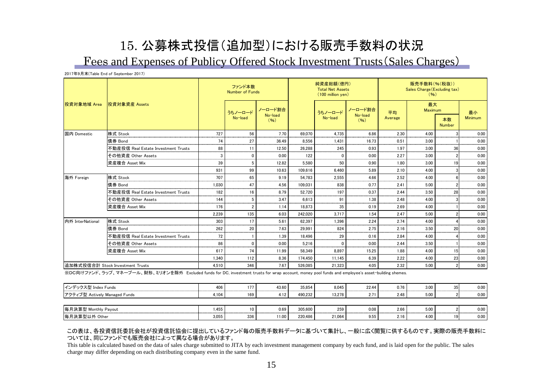# 15. 公募株式投信(追加型)における販売手数料の状況

Fees and Expenses of Publicy Offered Stock Investment Trusts(Sales Charges)

2017年9月末(Table End of September 2017)

|                  |                                     |       | ファンド本数<br>Number of Funds |                    |         | 純資産総額(億円)<br><b>Total Net Assets</b><br>(100 million yen) |                            | 販売手数料(%(税抜))<br>Sales Charge (Excluding tax)<br>(96) |               |                     |                |  |
|------------------|-------------------------------------|-------|---------------------------|--------------------|---------|-----------------------------------------------------------|----------------------------|------------------------------------------------------|---------------|---------------------|----------------|--|
| 投資対象地域 Area      | 投資対象資産 Assets                       |       | うちノーロード<br>No-load        | ノーロード割合<br>No-load |         | うちノーロード <br>No-load                                       | ノーロード割合<br>No-load<br>(96) | 平均<br>Average                                        | 最大<br>Maximum |                     | 最小             |  |
|                  |                                     |       |                           | (96)               |         |                                                           |                            |                                                      |               | 本数<br><b>Number</b> | Minimum        |  |
| 国内 Domestic      | 株式 Stock                            | 727   | 56                        | 7.70               | 69.070  | 4.735                                                     | 6.86                       | 2.30                                                 | 4.00          |                     | 0.00           |  |
|                  | 債券 Bond                             | 74    | 27                        | 36.49              | 8.556   | 1.431                                                     | 16.73                      | 0.51                                                 | 3.00          |                     | 0.00           |  |
|                  | 不動産投信 Real Estate Investment Trusts | 88    |                           | 12.50              | 26.288  | 245                                                       | 0.93                       | 1.97                                                 | 3.00          |                     | 0.00           |  |
|                  | その他資産 Other Assets                  | 3     | $\Omega$                  | 0.00               | 122     | $\Omega$                                                  | 0.00                       | 2.27                                                 | 3.00          |                     | 0.00           |  |
|                  | 資産複合 Asset Mix                      | 39    | 5                         | 12.82              | 5.580   | 50                                                        | 0.90                       | 1.80                                                 | 3.00          | 19                  | 0.00           |  |
|                  |                                     | 931   | 99                        | 10.63              | 109.616 | 6.460                                                     | 5.89                       | 2.10                                                 | 4.00          |                     | 0.00           |  |
| 海外 Foreign       | 株式 Stock                            | 707   | 65                        | 9.19               | 54.783  | 2.555                                                     | 4.66                       | 2.52                                                 | 4.00          |                     | 0.00           |  |
|                  | 債券 Bond                             | 1.030 | 47                        | 4.56               | 109.031 | 838                                                       | 0.77                       | 2.41                                                 | 5.00          |                     | 0.00           |  |
|                  | 不動産投信 Real Estate Investment Trusts | 182   | 16                        | 8.79               | 52.720  | 197                                                       | 0.37                       | 2.44                                                 | 3.50          | 28                  | 0.00           |  |
|                  | その他資産 Other Assets                  | 144   |                           | 3.47               | 6.613   | 91                                                        | 1.38                       | 2.48                                                 | 4.00          |                     | 0.00           |  |
|                  | 資産複合 Asset Mix                      | 176   |                           | 1.14               | 18.873  | 35                                                        | 0.19                       | 2.69                                                 | 4.00          |                     | 0.00           |  |
|                  |                                     | 2.239 | 135                       | 6.03               | 242.020 | 3.717                                                     | 1.54                       | 2.47                                                 | 5.00          |                     | 0.00           |  |
| 内外 InterNational | 株式 Stock                            | 303   | 17                        | 5.61               | 62.397  | 1.396                                                     | 2.24                       | 2.74                                                 | 4.00          |                     | 0.00           |  |
|                  | 倩券 Bond                             | 262   | 20                        | 7.63               | 29.991  | 824                                                       | 2.75                       | 2.16                                                 | 3.50          | 20                  | 0.00<br>------ |  |
|                  | 不動産投信 Real Estate Investment Trusts | 72    |                           | 1.39               | 18.496  | 29                                                        | 0.16                       | 2.84                                                 | 4.00          |                     | 0.00           |  |
|                  | その他資産 Other Assets                  | 86    | $\Omega$                  | 0.00               | 5.216   | ŋ                                                         | 0.00                       | 2.44                                                 | 3.50          |                     | 0.00           |  |
|                  | 資産複合 Asset Mix                      | 617   | 74                        | 11.99              | 58.349  | 8.897                                                     | 15.25                      | 1.88                                                 | 4.00          | 15                  | 0.00           |  |
|                  |                                     | 1.340 | 112                       | 8.36               | 174.450 | 11.145                                                    | 6.39                       | 2.22                                                 | 4.00          | 23                  | 0.00           |  |
|                  | 追加株式投信合計 Stock Investment Trusts    | 4.510 | 346                       | 7.67               | 526.085 | 21.323                                                    | 4.05                       | 2.32                                                 | 5.00          |                     | 0.00           |  |

※DC向けファンド、ラップ、マネープール、財形、ミリオンを除外 Excluded funds for DC, investment trusts for wrap account, money pool funds and employee's asset-building shemes.

| インデックス型 Index Funds           | 406      |     | 43.60          | 35.854  | 8.045  | 22.44 | 0.76 | 3.00 |     | 0.00 |
|-------------------------------|----------|-----|----------------|---------|--------|-------|------|------|-----|------|
| アクティブ型 Actively Managed Funds | .104     |     | 4.12           | 490.232 | 13,278 |       | 2.48 | 5.00 |     | 0.00 |
|                               |          |     |                |         |        |       |      |      |     |      |
| 毎月決算型 Monthly Payout<br>_____ | : 455. ، |     | 0.69<br>______ | 305.600 | 259    | 0.08  | 2.66 | 5.00 |     | 0.00 |
| 每月決算型以外 Other                 | 3.055    | 336 | 1.00           | 220.486 | 21,064 | 9.55  | 2.16 | 4.00 | 191 | 0.00 |

#### この表は、各投資信託委託会社が投資信託協会に提出しているファンド毎の販売手数料データに基づいて集計し、一般に広く閲覧に供するものです。実際の販売手数料に ついては、同じファンドでも販売会社によって異なる場合があります。

This table is calculated based on the data of sales charge submitted to JITA by each investment management company by each fund, and is laid open for the public. The sales charge may differ depending on each distributing company even in the same fund.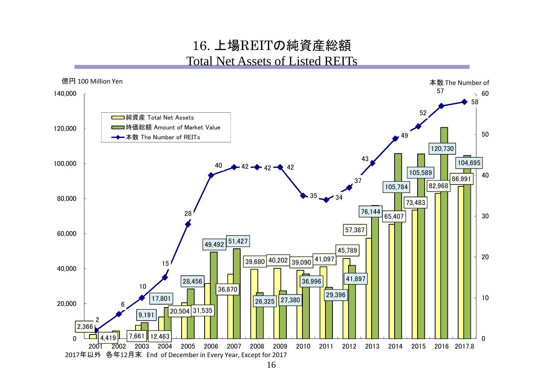### 16. 上場REITの純資産総額 Total Net Assets of Listed REITs

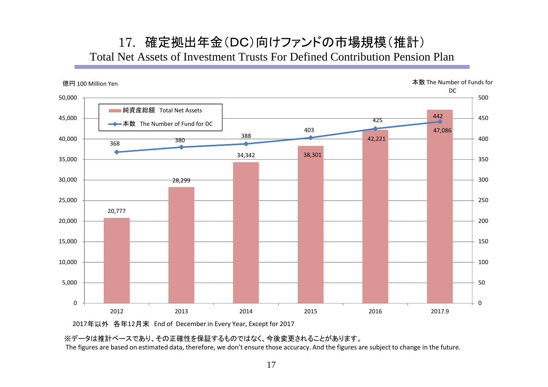### 17. 確定拠出年金(DC)向けファンドの市場規模(推計) Total Net Assets of Investment Trusts For Defined Contribution Pension Plan



2017年以外 各年12月末 End of December in Every Year, Except for 2017

※データは推計ベースであり、その正確性を保証するものではなく、今後変更されることがあります。

The figures are based on estimated data, therefore, we don't ensure those accuracy. And the figures are subject to change in the future.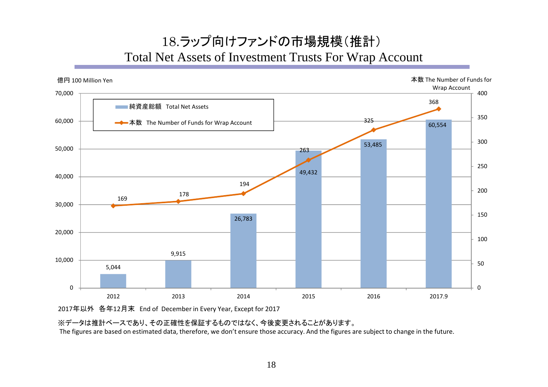## 18.ラップ向けファンドの市場規模(推計) Total Net Assets of Investment Trusts For Wrap Account



2017年以外 各年12月末 End of December in Every Year, Except for 2017

※データは推計ベースであり、その正確性を保証するものではなく、今後変更されることがあります。

The figures are based on estimated data, therefore, we don't ensure those accuracy. And the figures are subject to change in the future.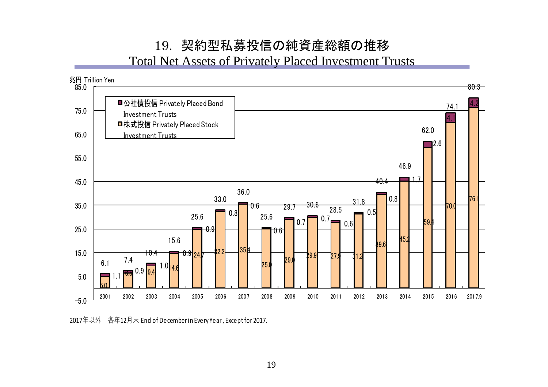# 19. 契約型私募投信の純資産総額の推移

Total Net Assets of Privately Placed Investment Trusts



2017年以外 各年12月末 End of December in Every Year , Except for 2017.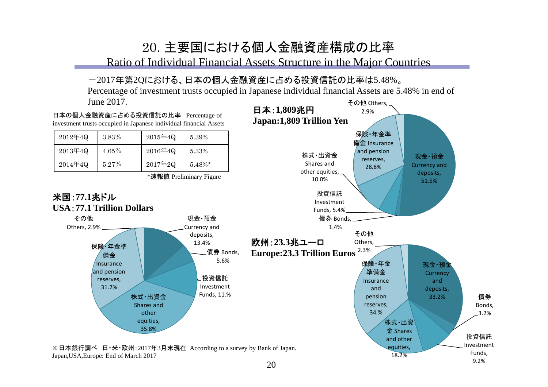## 20. 主要国における個人金融資産構成の比率

Ratio of Individual Financial Assets Structure in the Major Countries

#### -2017年第2Qにおける、日本の個人金融資産に占める投資信託の比率は5.48%。

その他 Others, Percentage of investment trusts occupied in Japanese individual financial Assets are 5.48% in end of June 2017.



20

9.2%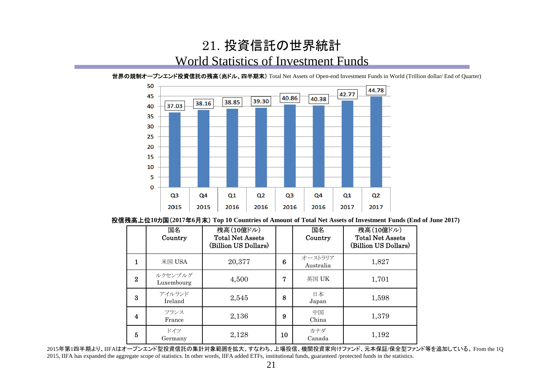## 21. 投資信託の世界統計 World Statistics of Investment Funds

50 44.78 42.77 45 40.86 40.38 39.30 38.85 38.16 37.03 40 35 30 25 20 15 10 5  $\mathbf 0$  $Q<sub>3</sub>$ Q4  $Q1$  $Q<sub>2</sub>$ Q<sub>3</sub> Q4  $Q1$  $Q<sub>2</sub>$ 2015 2015 2016 2016 2016 2016 2017 2017

世界の規制オープンエンド投資信託の残高(兆ドル、四半期末) Total Net Assets of Open-end Investment Funds in World (Trillion dollar/ End of Quarter)

#### 投信残高上位**10**カ国(**2017**年**6**月末) **Top 10 Countries of Amount of Total Net Assets of Investment Funds (End of June 2017)**

|          | 国名<br>Country         | 残高(10億ドル)<br><b>Total Net Assets</b><br>(Billion US Dollars) |    | 国名<br>Country        | 残高(10億ドル)<br><b>Total Net Assets</b><br>(Billion US Dollars) |
|----------|-----------------------|--------------------------------------------------------------|----|----------------------|--------------------------------------------------------------|
| 1        | 米国 $USA$              | 20,377                                                       | 6  | オーストラリア<br>Australia | 1,827                                                        |
| $\bf{2}$ | ルクセンブルグ<br>Luxembourg | 4,500                                                        | 7  | 英国 UK                | 1,701                                                        |
| 3        | アイルランド<br>Ireland     | 2,545                                                        | 8  | 日本<br>Japan          | 1,598                                                        |
| 4        | フランス<br>France        | 2,136                                                        | 9  | 中国<br>China          | 1,379                                                        |
| 5        | ドイツ<br>Germany        | 2,128                                                        | 10 | カナダ<br>Canada        | 1,192                                                        |

2015年第1四半期より、IIFAはオープンエンド型投資信託の集計対象範囲を拡大、すなわち、上場投信、機関投資家向けファンド、元本保証/保全型ファンド等を追加している。 From the 1Q 2015, IIFA has expanded the aggregate scope of statistics. In other words, IIFA added ETFs, institutional funds, guaranteed /protected funds in the statistics.